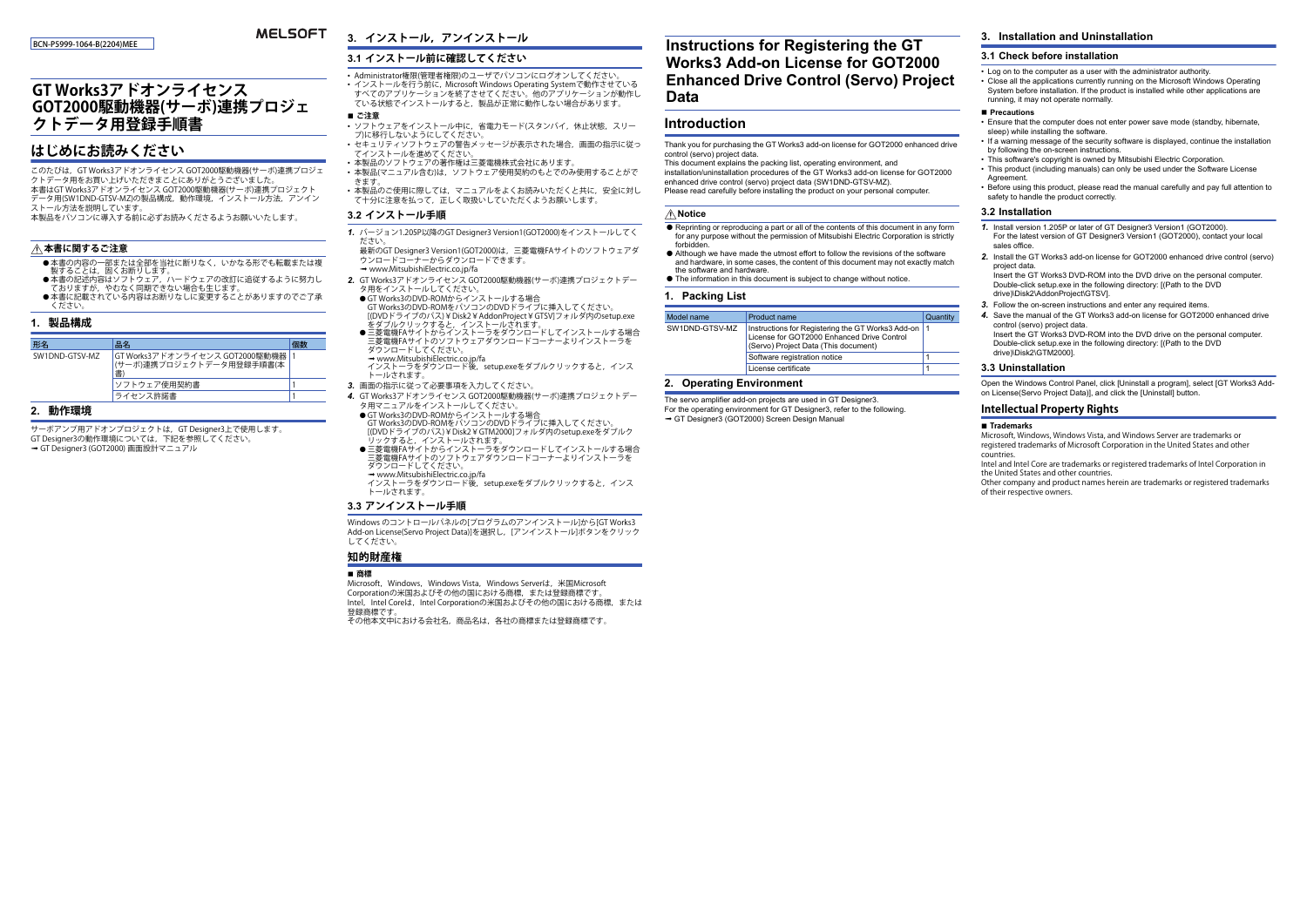#### BCN-P5999-1064-B(2204)MEE

## **MELSOFT**

# **GT Works3アドオンライセンス GOT2000駆動機器(サーボ)連携プロジェ クトデータ用登録手順書**

## **はじめにお読みください**

このたびは,GT Works3アドオンライセンス GOT2000駆動機器(サーボ)連携プロジェクトデータ用をお買い上げいただきまことにありがとうございました。 本書はGT Works3アドオンライセンス GOT2000駆動機器(サーボ)連携プロジェクト データ用(SW1DND-GTSV-MZ)の製品構成,動作環境,インストール方法,アンインストール方法を説明しています。

本製品をパソコンに導入する前に必ずお読みくださるようお願いいたします。

#### **本書に関するご注意**

- 本書の内容の一部または全部を当社に断りなく,いかなる形でも転載または複<br>- 製することは,固くお断りします。
- 
- 本書の記述内容はソフトウェア,ハードウェアの改訂に追従するように努力し ておりますが,やむなく同期できない場合も生じます。<br>● 本書に記載されている内容はお断りなしに変更することがありますのでご了承
- ください。

#### **1. 製品構成**

| 形名             | 品名                                                            |  |  |
|----------------|---------------------------------------------------------------|--|--|
| SW1DND-GTSV-MZ | GT Works3アドオンライセンス GOT2000駆動機器  <br> (サーボ)連携プロジェクトデータ用登録手順書(本 |  |  |
|                | ソフトウェア使用契約書                                                   |  |  |
|                | ライセンス許諾書                                                      |  |  |

### **2. 動作環境**

-<br>サーボアンプ用アドオンプロジェクトは, GT Designer3上で使用します。 GT Designer3の動作環境については,下記を参照してください。 → GT Designer3 (GOT2000) 画面設計マニュアル

# **3. インストール,アンインストール**

## **3.1 インストール前に確認してください**

• Administrator権限(管理者権限)のユーザでパソコンにログオンしてください。 • インストールを行う前に, Microsoft Windows Operating Systemで動作させている すべてのアプリケーションを終了させてください。他のアプリケーションが動作している状態でインストールすると,製品が正常に動作しない場合があります。

- **ご注意**  • ソフトウェアをインストール中に,省電力モード(スタンバイ,休止状態,スリープ)に移行しないようにしてください。
- セキュリティソフトウェアの警告メッセージが表示された場合,画面の指示に従ってインストールを進めてください。
- 本製品のソフトウェアの著作権は三菱電機株式会社にあります。
- 本製品(マニュアル含む)は,ソフトウェア使用契約のもとでのみ使用することができます。
- 本製品のご使用に際しては,マニュアルをよくお読みいただくと共に,安全に対し て十分に注意を払って,正しく取扱いしていただくようお願いします。

### **3.2 インストール手順**

*1.* バージョン1.205P以降のGT Designer3 Version1(GOT2000)をインストールしてく ださい。

 最新のGT Designer3 Version1(GOT2000)は,三菱電機FAサイトのソフトウェアダ ウンロードコーナーからダウンロードできます。</u> www.MitsubishiFlectric.co.jp/fa

- *2.* GT Works3アドオンライセンス GOT2000駆動機器(サーボ)連携プロジェクトデータ用をインストールしてください。
- GT Works3のDVD-ROMからインストールする場合 GT Works3のDVD-ROMをパソコンのDVDドライブに挿入してください。
- [(DVDドライブのパス)¥Disk2¥AddonProject¥GTSV]フォルダ内のsetup.exe [(DVDドライブのパス)¥Disk2¥AddonProject¥GTSV]フォルダ内のsetup.exe<br>をダブルクリックすると, インストールされます。<br>● 三菱電機FAサイトからインストーラをダウンロードしてインストールする場合
- 二菱電機FAサイトのソフトウェアダウンロードコーナーよりインストーラを ダウンロードしてください。
- → www.MitsubishiElectric.co.jp/fa<br>インストーラをダウンロード後, setup.exeをダブルクリックすると, インス トールされます。
- *3.* 画面の指示に従って必要事項を入力してください。
- *4.* GT Works3アドオンライセンス GOT2000駆動機器(サーボ)連携プロジェクトデータ用マニュアルをインストールしてください。
- GT Works3のDVD-ROMからインストールする場合<br>- GT Works3のDVD-ROMをパソコンのDVDドライブに挿入してください。<br>|(DVDドライブのパス)¥Disk2¥GTM2000]フォルダ内のsetup.exeをダブルク
- リックすると,インストールされます。<br>● 三菱電機FAサイトからインストーラをダウンロードしてインストールする場合<br>- 三菱電機FAサイトのソフトウェアダウンロードコーナーよりインストーラを ダウンロードしてください。
- → www.mitsubishiElectric.co.jp/ia<br>インストーラをダウンロード後, setup.exeをダブルクリックすると, インス トールされます。

#### **3.3 アンインストール手順**

Windows のコントロールパネルの[プログラムのアンインストール]から[GT Works3 Add-on License(Servo Project Data)]を選択し,[アンインストール]ボタンをクリック してください。

## **知的財産権**

#### **商標**

Microsoft, Windows, Windows Vista, Windows Serverは, 米国Microsoft Corporationの米国およびその他の国における商標,または登録商標です。 Intel, Intel Coreは, Intel Corporationの米国およびその他の国における商標,または 登録商標です。

その他本文中における会社名,商品名は,各社の商標または登録商標です。

# **Instructions for Registering the GT Works3 Add-on License for GOT2000 Enhanced Drive Control (Servo) Project Data**

## **Introduction**

Thank you for purchasing the GT Works3 add-on license for GOT2000 enhanced drive control (servo) project data.

This document explains the packing list, operating environment, and installation/uninstallation procedures of the GT Works3 add-on license for GOT2000 enhanced drive control (servo) project data (SW1DND-GTSV-MZ). Please read carefully before installing the product on your personal computer.

#### **Notice**

- $\bullet$  Reprinting or reproducing a part or all of the contents of this document in any form for any purpose without the permission of Mitsubishi Electric Corporation is strictly forbidden.
- Although we have made the utmost effort to follow the revisions of the software and hardware, in some cases, the content of this document may not exactly match the software and hardware.
- The information in this document is subject to change without notice.

## **1. Packing List**

|  | Model name     | Product name                                                                                                                               | Quantity |
|--|----------------|--------------------------------------------------------------------------------------------------------------------------------------------|----------|
|  | SW1DND-GTSV-MZ | Instructions for Registering the GT Works3 Add-on  1<br>License for GOT2000 Enhanced Drive Control<br>(Servo) Project Data (This document) |          |
|  |                | Software registration notice                                                                                                               |          |
|  |                | License certificate                                                                                                                        |          |

#### **2. Operating Environment**

The servo amplifier add-on projects are used in GT Designer3. For the operating environment for GT Designer3, refer to the following.

→ GT Designer3 (GOT2000) Screen Design Manual

## **3. Installation and Uninstallation**

## **3.1 Check before installation**

• Log on to the computer as a user with the administrator authority. • Close all the applications currently running on the Microsoft Windows Operating System before installation. If the product is installed while other applications are running, it may not operate normally.

#### **■ Precautions**

- Ensure that the computer does not enter power save mode (standby, hibernate, sleep) while installing the software
- If a warning message of the security software is displayed, continue the installation by following the on-screen instructions.
- This software's copyright is owned by Mitsubishi Electric Corporation.
- This product (including manuals) can only be used under the Software License **Agreement**
- Before using this product, please read the manual carefully and pay full attention to safety to handle the product correctly.

#### **3.2 Installation**

- *1.* Install version 1.205P or later of GT Designer3 Version1 (GOT2000). For the latest version of GT Designer3 Version1 (GOT2000), contact your local sales office.
- *2.* Install the GT Works3 add-on license for GOT2000 enhanced drive control (servo) project data.

Insert the GT Works3 DVD-ROM into the DVD drive on the personal computer. Double-click setup.exe in the following directory: [(Path to the DVD drive)\Disk2\AddonProject\GTSV].

- *3.* Follow the on-screen instructions and enter any required items.
- *4.* Save the manual of the GT Works3 add-on license for GOT2000 enhanced drive control (servo) project data. Insert the GT Works3 DVD-ROM into the DVD drive on the personal computer. Double-click setup.exe in the following directory: [(Path to the DVD drive)\Disk2\GTM2000].

#### **3.3 Uninstallation**

Open the Windows Control Panel, click [Uninstall a program], select [GT Works3 Addon License(Servo Project Data)], and click the [Uninstall] button.

### **Intellectual Property Rights**

#### **Trademarks**

Microsoft, Windows, Windows Vista, and Windows Server are trademarks or registered trademarks of Microsoft Corporation in the United States and other countries.

 Intel and Intel Core are trademarks or registered trademarks of Intel Corporation in the United States and other countries.

 Other company and product names herein are trademarks or registered trademarks of their respective owners.